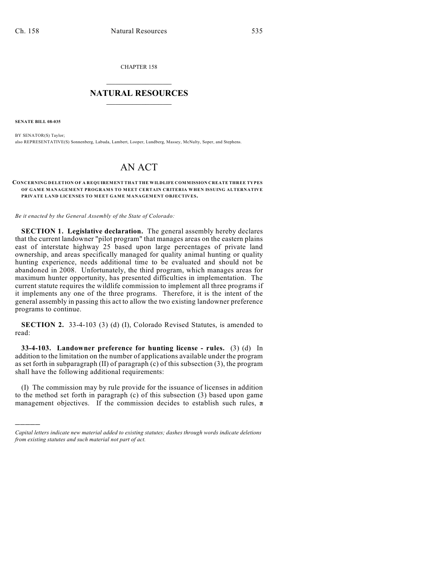CHAPTER 158  $\mathcal{L}_\text{max}$  . The set of the set of the set of the set of the set of the set of the set of the set of the set of the set of the set of the set of the set of the set of the set of the set of the set of the set of the set

## **NATURAL RESOURCES**  $\frac{1}{\sqrt{2}}$  , where  $\frac{1}{\sqrt{2}}$  ,  $\frac{1}{\sqrt{2}}$  ,  $\frac{1}{\sqrt{2}}$

**SENATE BILL 08-035**

)))))

BY SENATOR(S) Taylor; also REPRESENTATIVE(S) Sonnenberg, Labuda, Lambert, Looper, Lundberg, Massey, McNulty, Soper, and Stephens.

## AN ACT

## **CONCERNING DELETION OF A REQUIREMENT THAT THE WILDLIFE COMMISSION CREATE THREE TYPES OF GAME MANAGEMENT PROGRAMS TO MEET CERTAIN CRITERIA WHEN ISSUING ALTERNATIVE PRIVATE LAND LICENSES TO MEET GAME MANAGEMENT OBJECTIVES.**

*Be it enacted by the General Assembly of the State of Colorado:*

**SECTION 1. Legislative declaration.** The general assembly hereby declares that the current landowner "pilot program" that manages areas on the eastern plains east of interstate highway 25 based upon large percentages of private land ownership, and areas specifically managed for quality animal hunting or quality hunting experience, needs additional time to be evaluated and should not be abandoned in 2008. Unfortunately, the third program, which manages areas for maximum hunter opportunity, has presented difficulties in implementation. The current statute requires the wildlife commission to implement all three programs if it implements any one of the three programs. Therefore, it is the intent of the general assembly in passing this act to allow the two existing landowner preference programs to continue.

**SECTION 2.** 33-4-103 (3) (d) (I), Colorado Revised Statutes, is amended to read:

**33-4-103. Landowner preference for hunting license - rules.** (3) (d) In addition to the limitation on the number of applications available under the program as set forth in subparagraph (II) of paragraph (c) of this subsection (3), the program shall have the following additional requirements:

(I) The commission may by rule provide for the issuance of licenses in addition to the method set forth in paragraph (c) of this subsection (3) based upon game management objectives. If the commission decides to establish such rules,  $\sigma$ 

*Capital letters indicate new material added to existing statutes; dashes through words indicate deletions from existing statutes and such material not part of act.*